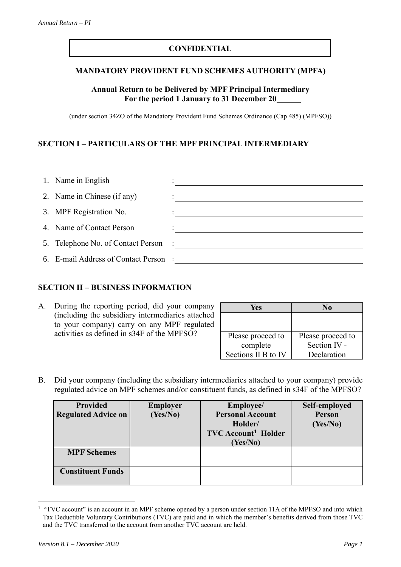# **CONFIDENTIAL**

## **MANDATORY PROVIDENT FUND SCHEMES AUTHORITY (MPFA)**

## **Annual Return to be Delivered by MPF Principal Intermediary For the period 1 January to 31 December 20**

(under section 34ZO of the Mandatory Provident Fund Schemes Ordinance (Cap 485) (MPFSO))

# **SECTION I – PARTICULARS OF THE MPF PRINCIPAL INTERMEDIARY**

| 1. Name in English                    |  |
|---------------------------------------|--|
| 2. Name in Chinese (if any)           |  |
| 3. MPF Registration No.               |  |
| 4. Name of Contact Person             |  |
| 5. Telephone No. of Contact Person :  |  |
| 6. E-mail Address of Contact Person : |  |

### **SECTION II – BUSINESS INFORMATION**

A. During the reporting period, did your company (including the subsidiary intermediaries attached to your company) carry on any MPF regulated activities as defined in s34F of the MPFSO?

| Yes                 | No                |
|---------------------|-------------------|
|                     |                   |
|                     |                   |
| Please proceed to   | Please proceed to |
| complete            | Section IV -      |
| Sections II B to IV | Declaration       |

B. Did your company (including the subsidiary intermediaries attached to your company) provide regulated advice on MPF schemes and/or constituent funds, as defined in s34F of the MPFSO?

| <b>Provided</b><br><b>Regulated Advice on</b> | <b>Employer</b><br>(Yes/No) | Employee/<br><b>Personal Account</b><br>Holder/<br><b>TVC</b> Account <sup>1</sup> Holder<br>(Yes/No) | Self-employed<br>Person<br>(Yes/No) |
|-----------------------------------------------|-----------------------------|-------------------------------------------------------------------------------------------------------|-------------------------------------|
| <b>MPF Schemes</b>                            |                             |                                                                                                       |                                     |
| <b>Constituent Funds</b>                      |                             |                                                                                                       |                                     |

<sup>&</sup>lt;sup>1</sup> "TVC account" is an account in an MPF scheme opened by a person under section 11A of the MPFSO and into which Tax Deductible Voluntary Contributions (TVC) are paid and in which the member's benefits derived from those TVC and the TVC transferred to the account from another TVC account are held.

1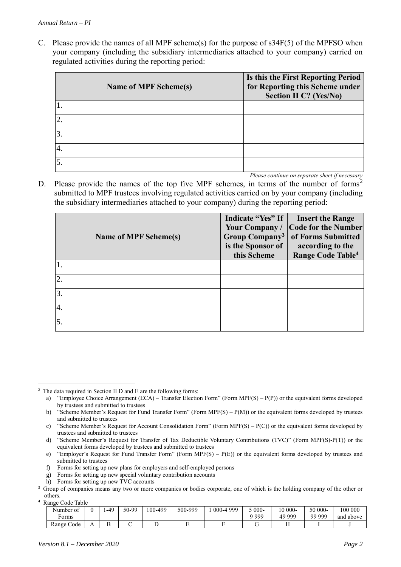C. Please provide the names of all MPF scheme(s) for the purpose of  $s34F(5)$  of the MPFSO when your company (including the subsidiary intermediaries attached to your company) carried on regulated activities during the reporting period:

|    | <b>Name of MPF Scheme(s)</b> | Is this the First Reporting Period<br>for Reporting this Scheme under<br><b>Section II C? (Yes/No)</b> |
|----|------------------------------|--------------------------------------------------------------------------------------------------------|
|    |                              |                                                                                                        |
|    |                              |                                                                                                        |
|    |                              |                                                                                                        |
| ⊶. |                              |                                                                                                        |
|    |                              |                                                                                                        |

*Please continue on separate sheet if necessary*

D. Please provide the names of the top five MPF schemes, in terms of the number of forms<sup>2</sup> submitted to MPF trustees involving regulated activities carried on by your company (including the subsidiary intermediaries attached to your company) during the reporting period:

| Name of MPF Scheme(s) | Indicate "Yes" If<br>Your Company/<br>Group Company <sup>3</sup><br>is the Sponsor of<br>this Scheme | <b>Insert the Range</b><br><b>Code for the Number</b><br>of Forms Submitted<br>according to the<br>Range Code Table <sup>4</sup> |
|-----------------------|------------------------------------------------------------------------------------------------------|----------------------------------------------------------------------------------------------------------------------------------|
|                       |                                                                                                      |                                                                                                                                  |
| $\overline{2}$        |                                                                                                      |                                                                                                                                  |
| $\overline{3}$ .      |                                                                                                      |                                                                                                                                  |
| 4.                    |                                                                                                      |                                                                                                                                  |
| $\overline{5}$ .      |                                                                                                      |                                                                                                                                  |

<sup>4</sup> Range Code Table

<u>.</u>

| Kange Couc Table    |                |       |       |         |         |                   |          |           |         |           |
|---------------------|----------------|-------|-------|---------|---------|-------------------|----------|-----------|---------|-----------|
| $\sim$<br>Number of |                | $-49$ | 50-99 | 100-499 | 500-999 | 1999<br>$000 - 4$ | $.000 -$ | $10000 -$ | 50 000- | 100 000   |
| orms:               |                |       |       |         |         |                   | 9 999    | 49 999    | 99 999  | and above |
| Range Code          | $\overline{1}$ | D     |       |         |         |                   |          | . .       |         |           |

<sup>2</sup> The data required in Section II D and E are the following forms:

a) "Employee Choice Arrangement (ECA) – Transfer Election Form" (Form MPF(S) – P(P)) or the equivalent forms developed by trustees and submitted to trustees

b) "Scheme Member's Request for Fund Transfer Form" (Form MPF(S) – P(M)) or the equivalent forms developed by trustees and submitted to trustees

c) "Scheme Member's Request for Account Consolidation Form" (Form MPF(S) –  $P(C)$ ) or the equivalent forms developed by trustees and submitted to trustees

d) "Scheme Member's Request for Transfer of Tax Deductible Voluntary Contributions (TVC)" (Form MPF(S)-P(T)) or the equivalent forms developed by trustees and submitted to trustees

e) "Employer's Request for Fund Transfer Form" (Form MPF(S) – P(E)) or the equivalent forms developed by trustees and submitted to trustees

f) Forms for setting up new plans for employers and self-employed persons

g) Forms for setting up new special voluntary contribution accounts

h) Forms for setting up new TVC accounts

<sup>&</sup>lt;sup>3</sup> Group of companies means any two or more companies or bodies corporate, one of which is the holding company of the other or others.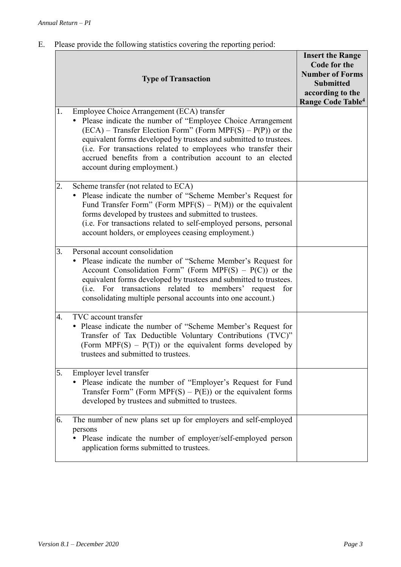# E. Please provide the following statistics covering the reporting period:

|    | <b>Type of Transaction</b>                                                                                                                                                                                                                                                                                                                                                                                     | <b>Insert the Range</b><br>Code for the<br><b>Number of Forms</b><br><b>Submitted</b><br>according to the<br>Range Code Table <sup>4</sup> |
|----|----------------------------------------------------------------------------------------------------------------------------------------------------------------------------------------------------------------------------------------------------------------------------------------------------------------------------------------------------------------------------------------------------------------|--------------------------------------------------------------------------------------------------------------------------------------------|
| 1. | Employee Choice Arrangement (ECA) transfer<br>Please indicate the number of "Employee Choice Arrangement"<br>$(ECA)$ – Transfer Election Form" (Form MPF(S) – P(P)) or the<br>equivalent forms developed by trustees and submitted to trustees.<br>(i.e. For transactions related to employees who transfer their<br>accrued benefits from a contribution account to an elected<br>account during employment.) |                                                                                                                                            |
| 2. | Scheme transfer (not related to ECA)<br>Please indicate the number of "Scheme Member's Request for<br>Fund Transfer Form" (Form MPF(S) – $P(M)$ ) or the equivalent<br>forms developed by trustees and submitted to trustees.<br>(i.e. For transactions related to self-employed persons, personal<br>account holders, or employees ceasing employment.)                                                       |                                                                                                                                            |
| 3. | Personal account consolidation<br>• Please indicate the number of "Scheme Member's Request for<br>Account Consolidation Form" (Form MPF(S) – $P(C)$ ) or the<br>equivalent forms developed by trustees and submitted to trustees.<br>(i.e. For transactions related to members' request for<br>consolidating multiple personal accounts into one account.)                                                     |                                                                                                                                            |
| 4. | TVC account transfer<br>• Please indicate the number of "Scheme Member's Request for<br>Transfer of Tax Deductible Voluntary Contributions (TVC)"<br>(Form MPF(S) – $P(T)$ ) or the equivalent forms developed by<br>trustees and submitted to trustees.                                                                                                                                                       |                                                                                                                                            |
| 5. | Employer level transfer<br>• Please indicate the number of "Employer's Request for Fund<br>Transfer Form" (Form MPF(S) – $P(E)$ ) or the equivalent forms<br>developed by trustees and submitted to trustees.                                                                                                                                                                                                  |                                                                                                                                            |
| 6. | The number of new plans set up for employers and self-employed<br>persons<br>Please indicate the number of employer/self-employed person<br>application forms submitted to trustees.                                                                                                                                                                                                                           |                                                                                                                                            |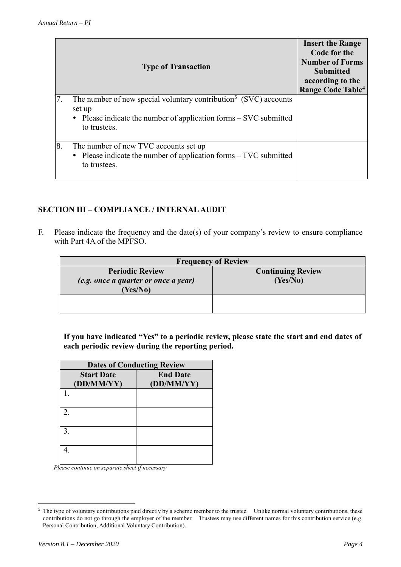|    | <b>Type of Transaction</b>                                                                                                                                                    | <b>Insert the Range</b><br>Code for the<br><b>Number of Forms</b><br><b>Submitted</b><br>according to the<br>Range Code Table <sup>4</sup> |
|----|-------------------------------------------------------------------------------------------------------------------------------------------------------------------------------|--------------------------------------------------------------------------------------------------------------------------------------------|
| 7. | The number of new special voluntary contribution <sup>5</sup> (SVC) accounts<br>set up<br>• Please indicate the number of application forms $-$ SVC submitted<br>to trustees. |                                                                                                                                            |
| 8. | The number of new TVC accounts set up<br>• Please indicate the number of application forms $-$ TVC submitted<br>to trustees.                                                  |                                                                                                                                            |

# **SECTION III – COMPLIANCE / INTERNAL AUDIT**

F. Please indicate the frequency and the date(s) of your company's review to ensure compliance with Part 4A of the MPFSO.

| <b>Frequency of Review</b>           |                          |  |  |  |
|--------------------------------------|--------------------------|--|--|--|
| <b>Periodic Review</b>               | <b>Continuing Review</b> |  |  |  |
| (e.g. once a quarter or once a year) | (Yes/No)                 |  |  |  |
| (Yes/No)                             |                          |  |  |  |
|                                      |                          |  |  |  |
|                                      |                          |  |  |  |

**If you have indicated "Yes" to a periodic review, please state the start and end dates of each periodic review during the reporting period.**

| <b>Dates of Conducting Review</b> |                               |  |  |  |  |
|-----------------------------------|-------------------------------|--|--|--|--|
| <b>Start Date</b><br>(DD/MM/YY)   | <b>End Date</b><br>(DD/MM/YY) |  |  |  |  |
|                                   |                               |  |  |  |  |
| $\mathfrak{D}_{\cdot}$            |                               |  |  |  |  |
| 3.                                |                               |  |  |  |  |
|                                   |                               |  |  |  |  |

*Please continue on separate sheet if necessary*

1

<sup>&</sup>lt;sup>5</sup> The type of voluntary contributions paid directly by a scheme member to the trustee. Unlike normal voluntary contributions, these contributions do not go through the employer of the member. Trustees may use different names for this contribution service (e.g. Personal Contribution, Additional Voluntary Contribution).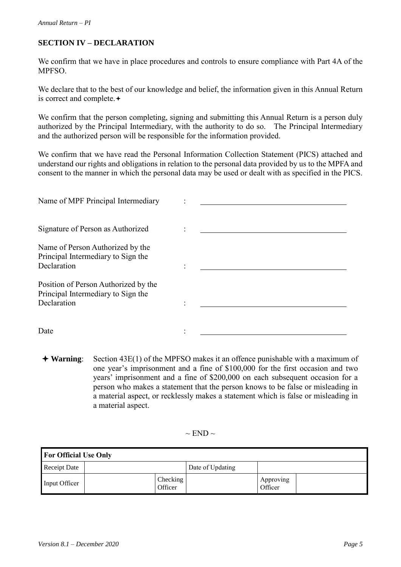# **SECTION IV – DECLARATION**

We confirm that we have in place procedures and controls to ensure compliance with Part 4A of the MPFSO.

We declare that to the best of our knowledge and belief, the information given in this Annual Return is correct and complete. $\div$ 

We confirm that the person completing, signing and submitting this Annual Return is a person duly authorized by the Principal Intermediary, with the authority to do so. The Principal Intermediary and the authorized person will be responsible for the information provided.

We confirm that we have read the Personal Information Collection Statement (PICS) attached and understand our rights and obligations in relation to the personal data provided by us to the MPFA and consent to the manner in which the personal data may be used or dealt with as specified in the PICS.

| Name of MPF Principal Intermediary                                                        |  |
|-------------------------------------------------------------------------------------------|--|
| Signature of Person as Authorized                                                         |  |
| Name of Person Authorized by the<br>Principal Intermediary to Sign the                    |  |
| Declaration                                                                               |  |
| Position of Person Authorized by the<br>Principal Intermediary to Sign the<br>Declaration |  |
|                                                                                           |  |
| Date                                                                                      |  |

 **Warning**: Section 43E(1) of the MPFSO makes it an offence punishable with a maximum of one year's imprisonment and a fine of \$100,000 for the first occasion and two years' imprisonment and a fine of \$200,000 on each subsequent occasion for a person who makes a statement that the person knows to be false or misleading in a material aspect, or recklessly makes a statement which is false or misleading in a material aspect.

 $\sim$  END  $\sim$ 

| <b>For Official Use Only</b> |  |                     |  |                      |  |  |  |
|------------------------------|--|---------------------|--|----------------------|--|--|--|
| <b>Receipt Date</b>          |  | Date of Updating    |  |                      |  |  |  |
| Input Officer                |  | Checking<br>Officer |  | Approving<br>Officer |  |  |  |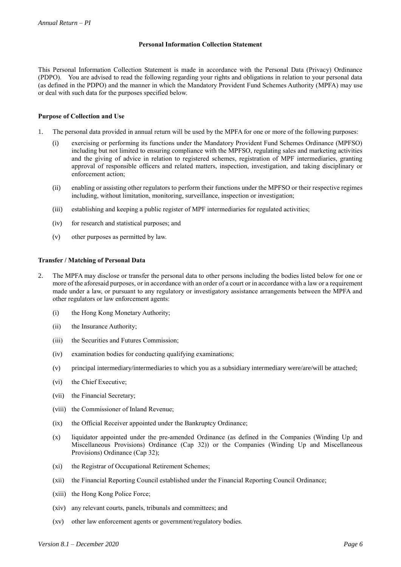### **Personal Information Collection Statement**

This Personal Information Collection Statement is made in accordance with the Personal Data (Privacy) Ordinance (PDPO). You are advised to read the following regarding your rights and obligations in relation to your personal data (as defined in the PDPO) and the manner in which the Mandatory Provident Fund Schemes Authority (MPFA) may use or deal with such data for the purposes specified below.

### **Purpose of Collection and Use**

- 1. The personal data provided in annual return will be used by the MPFA for one or more of the following purposes:
	- (i) exercising or performing its functions under the Mandatory Provident Fund Schemes Ordinance (MPFSO) including but not limited to ensuring compliance with the MPFSO, regulating sales and marketing activities and the giving of advice in relation to registered schemes, registration of MPF intermediaries, granting approval of responsible officers and related matters, inspection, investigation, and taking disciplinary or enforcement action;
	- (ii) enabling or assisting other regulators to perform their functions under the MPFSO or their respective regimes including, without limitation, monitoring, surveillance, inspection or investigation;
	- (iii) establishing and keeping a public register of MPF intermediaries for regulated activities;
	- (iv) for research and statistical purposes; and
	- (v) other purposes as permitted by law.

#### **Transfer / Matching of Personal Data**

- 2. The MPFA may disclose or transfer the personal data to other persons including the bodies listed below for one or more of the aforesaid purposes, or in accordance with an order of a court or in accordance with a law or a requirement made under a law, or pursuant to any regulatory or investigatory assistance arrangements between the MPFA and other regulators or law enforcement agents:
	- (i) the Hong Kong Monetary Authority;
	- (ii) the Insurance Authority;
	- (iii) the Securities and Futures Commission;
	- (iv) examination bodies for conducting qualifying examinations;
	- (v) principal intermediary/intermediaries to which you as a subsidiary intermediary were/are/will be attached;
	- (vi) the Chief Executive;
	- (vii) the Financial Secretary;
	- (viii) the Commissioner of Inland Revenue;
	- (ix) the Official Receiver appointed under the Bankruptcy Ordinance;
	- (x) liquidator appointed under the pre-amended Ordinance (as defined in the Companies (Winding Up and Miscellaneous Provisions) Ordinance (Cap 32)) or the Companies (Winding Up and Miscellaneous Provisions) Ordinance (Cap 32);
	- (xi) the Registrar of Occupational Retirement Schemes;
	- (xii) the Financial Reporting Council established under the Financial Reporting Council Ordinance;
	- (xiii) the Hong Kong Police Force;
	- (xiv) any relevant courts, panels, tribunals and committees; and
	- (xv) other law enforcement agents or government/regulatory bodies.